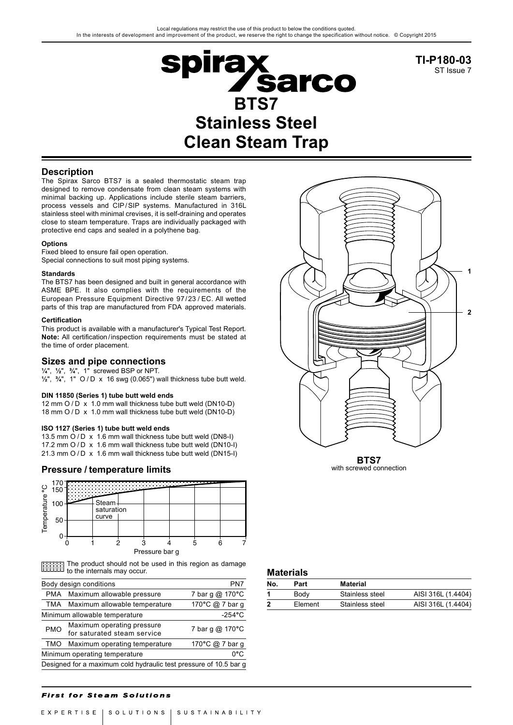

**TI-P180-03** ST Issue 7

# **Description**

The Spirax Sarco BTS7 is a sealed thermostatic steam trap designed to remove condensate from clean steam systems with minimal backing up. Applications include sterile steam barriers, process vessels and CIP/SIP systems. Manufactured in 316L stainless steel with minimal crevises, it is self-draining and operates close to steam temperature. Traps are individually packaged with protective end caps and sealed in a polythene bag.

### **Options**

Fixed bleed to ensure fail open operation. Special connections to suit most piping systems.

## **Standards**

The BTS7 has been designed and built in general accordance with ASME BPE. It also complies with the requirements of the European Pressure Equipment Directive 97/23 / EC. All wetted parts of this trap are manufactured from FDA approved materials.

### **Certification**

This product is available with a manufacturer's Typical Test Report. **Note:** All certification/inspection requirements must be stated at the time of order placement.

## **Sizes and pipe connections**

**¼**", **½**", **¾**", 1" screwed BSP or NPT.

**½**", **¾**", 1" O / D x 16 swg (0.065") wall thickness tube butt weld.

## **DIN 11850 (Series 1) tube butt weld ends**

12 mm  $Q/D \times 1.0$  mm wall thickness tube butt weld (DN10-D) 18 mm O / D x 1.0 mm wall thickness tube butt weld (DN10-D)

## **ISO 1127 (Series 1) tube butt weld ends**

13.5 mm  $\overrightarrow{O}$  / D  $\overrightarrow{x}$  1.6 mm wall thickness tube butt weld (DN8-I) 17.2 mm O / D x 1.6 mm wall thickness tube butt weld (DN10-I) 21.3 mm O / D x 1.6 mm wall thickness tube butt weld (DN15-I)

# **Pressure / temperature limits**



The product should not be used in this region as damage to the internals may occur. **Materials**

| Body design conditions               | PN7                                                               |                 |  |  |  |
|--------------------------------------|-------------------------------------------------------------------|-----------------|--|--|--|
|                                      | PMA Maximum allowable pressure                                    | 7 bar g @ 170°C |  |  |  |
|                                      | TMA Maximum allowable temperature                                 | 170°C @ 7 bar q |  |  |  |
|                                      | Minimum allowable temperature                                     | $-254$ °C       |  |  |  |
| <b>PMO</b>                           | Maximum operating pressure<br>for saturated steam service         | 7 bar g @ 170°C |  |  |  |
| TMO                                  | Maximum operating temperature                                     | 170°C @ 7 bar g |  |  |  |
| 0°C<br>Minimum operating temperature |                                                                   |                 |  |  |  |
|                                      | Designed for a maximum cold hydraulic test pressure of 10.5 bar g |                 |  |  |  |



**BTS7** with screwed connection

| No. | Part    | Material        |                    |  |  |  |
|-----|---------|-----------------|--------------------|--|--|--|
|     | Body    | Stainless steel | AISI 316L (1.4404) |  |  |  |
| 2   | Element | Stainless steel | AISI 316L (1.4404) |  |  |  |
|     |         |                 |                    |  |  |  |

## **First for Steam Solutions**